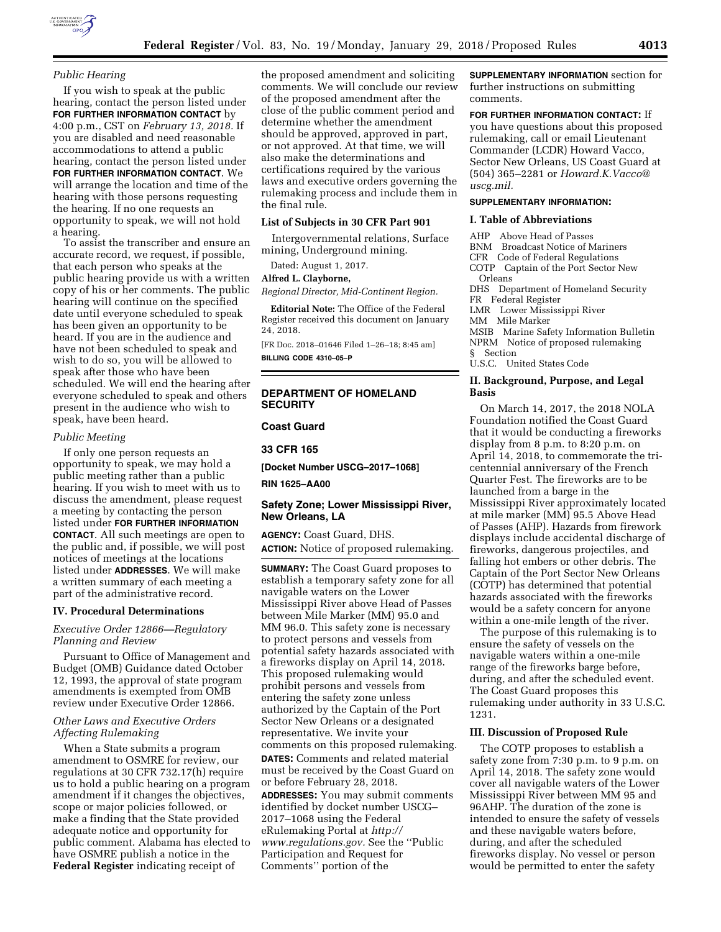

# *Public Hearing*

If you wish to speak at the public hearing, contact the person listed under **FOR FURTHER INFORMATION CONTACT** by 4:00 p.m., CST on *February 13, 2018.* If you are disabled and need reasonable accommodations to attend a public hearing, contact the person listed under **FOR FURTHER INFORMATION CONTACT**. We will arrange the location and time of the hearing with those persons requesting the hearing. If no one requests an opportunity to speak, we will not hold a hearing.

To assist the transcriber and ensure an accurate record, we request, if possible, that each person who speaks at the public hearing provide us with a written copy of his or her comments. The public hearing will continue on the specified date until everyone scheduled to speak has been given an opportunity to be heard. If you are in the audience and have not been scheduled to speak and wish to do so, you will be allowed to speak after those who have been scheduled. We will end the hearing after everyone scheduled to speak and others present in the audience who wish to speak, have been heard.

#### *Public Meeting*

If only one person requests an opportunity to speak, we may hold a public meeting rather than a public hearing. If you wish to meet with us to discuss the amendment, please request a meeting by contacting the person listed under **FOR FURTHER INFORMATION CONTACT**. All such meetings are open to the public and, if possible, we will post notices of meetings at the locations listed under **ADDRESSES**. We will make a written summary of each meeting a part of the administrative record.

## **IV. Procedural Determinations**

# *Executive Order 12866—Regulatory Planning and Review*

Pursuant to Office of Management and Budget (OMB) Guidance dated October 12, 1993, the approval of state program amendments is exempted from OMB review under Executive Order 12866.

## *Other Laws and Executive Orders Affecting Rulemaking*

When a State submits a program amendment to OSMRE for review, our regulations at 30 CFR 732.17(h) require us to hold a public hearing on a program amendment if it changes the objectives, scope or major policies followed, or make a finding that the State provided adequate notice and opportunity for public comment. Alabama has elected to have OSMRE publish a notice in the **Federal Register** indicating receipt of

the proposed amendment and soliciting comments. We will conclude our review of the proposed amendment after the close of the public comment period and determine whether the amendment should be approved, approved in part, or not approved. At that time, we will also make the determinations and certifications required by the various laws and executive orders governing the rulemaking process and include them in the final rule.

#### **List of Subjects in 30 CFR Part 901**

Intergovernmental relations, Surface mining, Underground mining.

Dated: August 1, 2017.

#### **Alfred L. Clayborne,**

*Regional Director, Mid-Continent Region.* 

**Editorial Note:** The Office of the Federal Register received this document on January 24, 2018.

[FR Doc. 2018–01646 Filed 1–26–18; 8:45 am]

**BILLING CODE 4310–05–P** 

# **DEPARTMENT OF HOMELAND SECURITY**

# **Coast Guard**

#### **33 CFR 165**

**[Docket Number USCG–2017–1068]** 

**RIN 1625–AA00** 

# **Safety Zone; Lower Mississippi River, New Orleans, LA**

**AGENCY:** Coast Guard, DHS. **ACTION:** Notice of proposed rulemaking.

**SUMMARY:** The Coast Guard proposes to establish a temporary safety zone for all navigable waters on the Lower Mississippi River above Head of Passes between Mile Marker (MM) 95.0 and MM 96.0. This safety zone is necessary to protect persons and vessels from potential safety hazards associated with a fireworks display on April 14, 2018. This proposed rulemaking would prohibit persons and vessels from entering the safety zone unless authorized by the Captain of the Port Sector New Orleans or a designated representative. We invite your comments on this proposed rulemaking. **DATES:** Comments and related material must be received by the Coast Guard on or before February 28, 2018. **ADDRESSES:** You may submit comments

identified by docket number USCG– 2017–1068 using the Federal eRulemaking Portal at *[http://](http://www.regulations.gov) [www.regulations.gov.](http://www.regulations.gov)* See the ''Public Participation and Request for Comments'' portion of the

**SUPPLEMENTARY INFORMATION** section for further instructions on submitting comments.

**FOR FURTHER INFORMATION CONTACT:** If you have questions about this proposed rulemaking, call or email Lieutenant Commander (LCDR) Howard Vacco, Sector New Orleans, US Coast Guard at (504) 365–2281 or *[Howard.K.Vacco@](mailto:Howard.K.Vacco@uscg.mil) [uscg.mil.](mailto:Howard.K.Vacco@uscg.mil)* 

# **SUPPLEMENTARY INFORMATION:**

### **I. Table of Abbreviations**

AHP Above Head of Passes BNM Broadcast Notice of Mariners CFR Code of Federal Regulations COTP Captain of the Port Sector New Orleans DHS Department of Homeland Security FR Federal Register LMR Lower Mississippi River MM Mile Marker MSIB Marine Safety Information Bulletin NPRM Notice of proposed rulemaking § Section U.S.C. United States Code **II. Background, Purpose, and Legal Basis**  On March 14, 2017, the 2018 NOLA

Foundation notified the Coast Guard that it would be conducting a fireworks display from 8 p.m. to 8:20 p.m. on April 14, 2018, to commemorate the tricentennial anniversary of the French Quarter Fest. The fireworks are to be launched from a barge in the Mississippi River approximately located at mile marker (MM) 95.5 Above Head of Passes (AHP). Hazards from firework displays include accidental discharge of fireworks, dangerous projectiles, and falling hot embers or other debris. The Captain of the Port Sector New Orleans (COTP) has determined that potential hazards associated with the fireworks would be a safety concern for anyone within a one-mile length of the river.

The purpose of this rulemaking is to ensure the safety of vessels on the navigable waters within a one-mile range of the fireworks barge before, during, and after the scheduled event. The Coast Guard proposes this rulemaking under authority in 33 U.S.C. 1231.

### **III. Discussion of Proposed Rule**

The COTP proposes to establish a safety zone from 7:30 p.m. to 9 p.m. on April 14, 2018. The safety zone would cover all navigable waters of the Lower Mississippi River between MM 95 and 96AHP. The duration of the zone is intended to ensure the safety of vessels and these navigable waters before, during, and after the scheduled fireworks display. No vessel or person would be permitted to enter the safety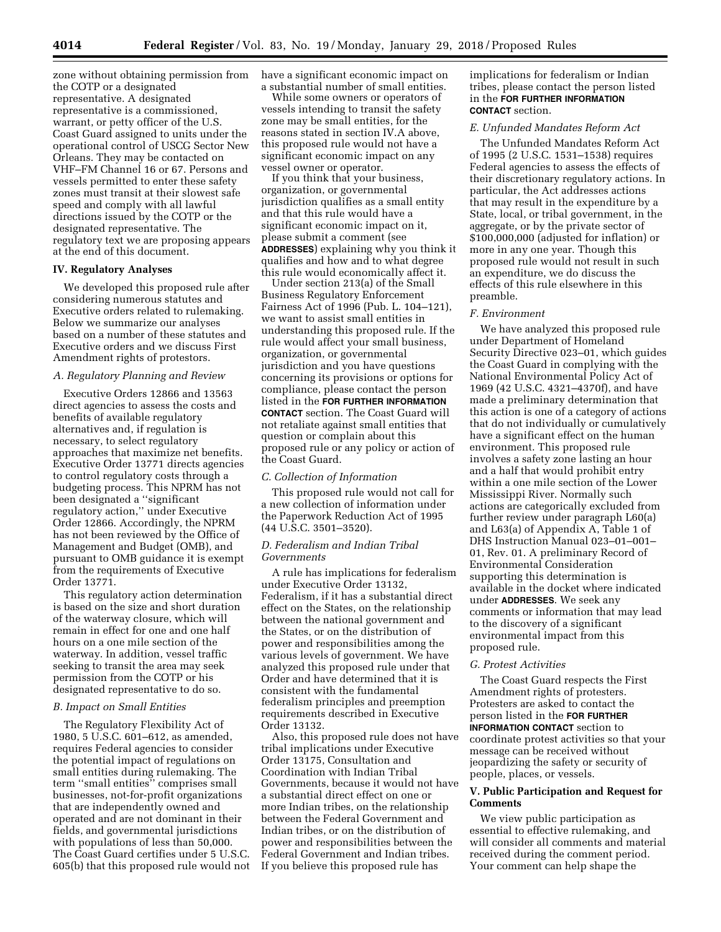zone without obtaining permission from the COTP or a designated representative. A designated representative is a commissioned, warrant, or petty officer of the U.S. Coast Guard assigned to units under the operational control of USCG Sector New Orleans. They may be contacted on VHF–FM Channel 16 or 67. Persons and vessels permitted to enter these safety zones must transit at their slowest safe speed and comply with all lawful directions issued by the COTP or the designated representative. The regulatory text we are proposing appears at the end of this document.

# **IV. Regulatory Analyses**

We developed this proposed rule after considering numerous statutes and Executive orders related to rulemaking. Below we summarize our analyses based on a number of these statutes and Executive orders and we discuss First Amendment rights of protestors.

### *A. Regulatory Planning and Review*

Executive Orders 12866 and 13563 direct agencies to assess the costs and benefits of available regulatory alternatives and, if regulation is necessary, to select regulatory approaches that maximize net benefits. Executive Order 13771 directs agencies to control regulatory costs through a budgeting process. This NPRM has not been designated a ''significant regulatory action,'' under Executive Order 12866. Accordingly, the NPRM has not been reviewed by the Office of Management and Budget (OMB), and pursuant to OMB guidance it is exempt from the requirements of Executive Order 13771.

This regulatory action determination is based on the size and short duration of the waterway closure, which will remain in effect for one and one half hours on a one mile section of the waterway. In addition, vessel traffic seeking to transit the area may seek permission from the COTP or his designated representative to do so.

### *B. Impact on Small Entities*

The Regulatory Flexibility Act of 1980, 5 U.S.C. 601–612, as amended, requires Federal agencies to consider the potential impact of regulations on small entities during rulemaking. The term ''small entities'' comprises small businesses, not-for-profit organizations that are independently owned and operated and are not dominant in their fields, and governmental jurisdictions with populations of less than 50,000. The Coast Guard certifies under 5 U.S.C. 605(b) that this proposed rule would not have a significant economic impact on a substantial number of small entities.

While some owners or operators of vessels intending to transit the safety zone may be small entities, for the reasons stated in section IV.A above, this proposed rule would not have a significant economic impact on any vessel owner or operator.

If you think that your business, organization, or governmental jurisdiction qualifies as a small entity and that this rule would have a significant economic impact on it, please submit a comment (see **ADDRESSES**) explaining why you think it qualifies and how and to what degree this rule would economically affect it.

Under section 213(a) of the Small Business Regulatory Enforcement Fairness Act of 1996 (Pub. L. 104–121), we want to assist small entities in understanding this proposed rule. If the rule would affect your small business, organization, or governmental jurisdiction and you have questions concerning its provisions or options for compliance, please contact the person listed in the **FOR FURTHER INFORMATION CONTACT** section. The Coast Guard will not retaliate against small entities that question or complain about this proposed rule or any policy or action of the Coast Guard.

### *C. Collection of Information*

This proposed rule would not call for a new collection of information under the Paperwork Reduction Act of 1995 (44 U.S.C. 3501–3520).

### *D. Federalism and Indian Tribal Governments*

A rule has implications for federalism under Executive Order 13132, Federalism, if it has a substantial direct effect on the States, on the relationship between the national government and the States, or on the distribution of power and responsibilities among the various levels of government. We have analyzed this proposed rule under that Order and have determined that it is consistent with the fundamental federalism principles and preemption requirements described in Executive Order 13132.

Also, this proposed rule does not have tribal implications under Executive Order 13175, Consultation and Coordination with Indian Tribal Governments, because it would not have a substantial direct effect on one or more Indian tribes, on the relationship between the Federal Government and Indian tribes, or on the distribution of power and responsibilities between the Federal Government and Indian tribes. If you believe this proposed rule has

implications for federalism or Indian tribes, please contact the person listed in the **FOR FURTHER INFORMATION CONTACT** section.

# *E. Unfunded Mandates Reform Act*

The Unfunded Mandates Reform Act of 1995 (2 U.S.C. 1531–1538) requires Federal agencies to assess the effects of their discretionary regulatory actions. In particular, the Act addresses actions that may result in the expenditure by a State, local, or tribal government, in the aggregate, or by the private sector of \$100,000,000 (adjusted for inflation) or more in any one year. Though this proposed rule would not result in such an expenditure, we do discuss the effects of this rule elsewhere in this preamble.

### *F. Environment*

We have analyzed this proposed rule under Department of Homeland Security Directive 023–01, which guides the Coast Guard in complying with the National Environmental Policy Act of 1969 (42 U.S.C. 4321–4370f), and have made a preliminary determination that this action is one of a category of actions that do not individually or cumulatively have a significant effect on the human environment. This proposed rule involves a safety zone lasting an hour and a half that would prohibit entry within a one mile section of the Lower Mississippi River. Normally such actions are categorically excluded from further review under paragraph L60(a) and L63(a) of Appendix A, Table 1 of DHS Instruction Manual 023–01–001– 01, Rev. 01. A preliminary Record of Environmental Consideration supporting this determination is available in the docket where indicated under **ADDRESSES**. We seek any comments or information that may lead to the discovery of a significant environmental impact from this proposed rule.

#### *G. Protest Activities*

The Coast Guard respects the First Amendment rights of protesters. Protesters are asked to contact the person listed in the **FOR FURTHER INFORMATION CONTACT** section to coordinate protest activities so that your message can be received without jeopardizing the safety or security of people, places, or vessels.

## **V. Public Participation and Request for Comments**

We view public participation as essential to effective rulemaking, and will consider all comments and material received during the comment period. Your comment can help shape the